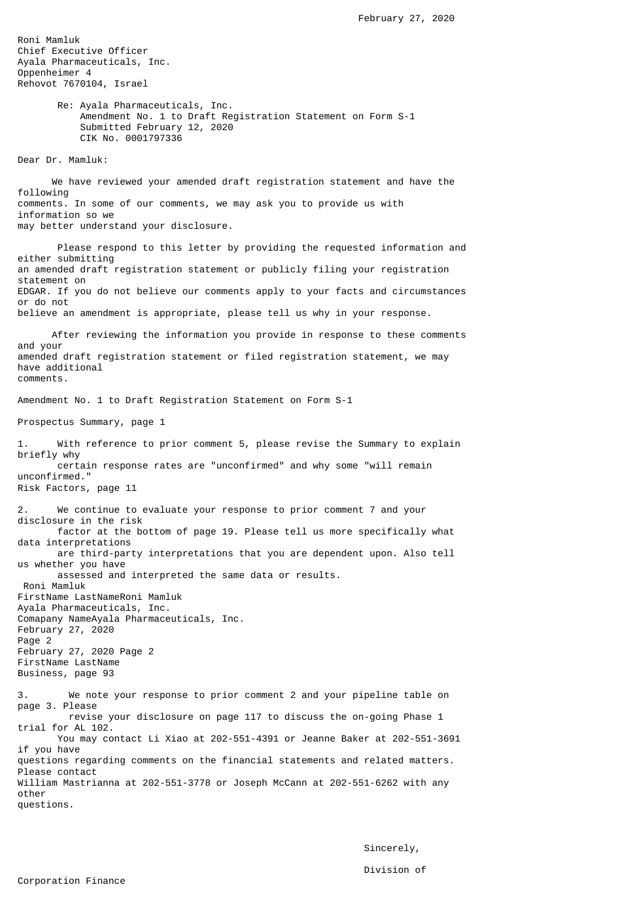Roni Mamluk Chief Executive Officer Ayala Pharmaceuticals, Inc. Oppenheimer 4 Rehovot 7670104, Israel

> Re: Ayala Pharmaceuticals, Inc. Amendment No. 1 to Draft Registration Statement on Form S-1 Submitted February 12, 2020 CIK No. 0001797336

Dear Dr. Mamluk:

 We have reviewed your amended draft registration statement and have the following comments. In some of our comments, we may ask you to provide us with information so we may better understand your disclosure.

 Please respond to this letter by providing the requested information and either submitting an amended draft registration statement or publicly filing your registration statement on EDGAR. If you do not believe our comments apply to your facts and circumstances or do not believe an amendment is appropriate, please tell us why in your response.

 After reviewing the information you provide in response to these comments and your amended draft registration statement or filed registration statement, we may have additional comments.

Amendment No. 1 to Draft Registration Statement on Form S-1

Prospectus Summary, page 1

1. With reference to prior comment 5, please revise the Summary to explain briefly why certain response rates are "unconfirmed" and why some "will remain unconfirmed." Risk Factors, page 11

2. We continue to evaluate your response to prior comment 7 and your disclosure in the risk factor at the bottom of page 19. Please tell us more specifically what data interpretations are third-party interpretations that you are dependent upon. Also tell us whether you have assessed and interpreted the same data or results.

 Roni Mamluk FirstName LastNameRoni Mamluk Ayala Pharmaceuticals, Inc. Comapany NameAyala Pharmaceuticals, Inc. February 27, 2020 Page 2 February 27, 2020 Page 2 FirstName LastName Business, page 93

3. We note your response to prior comment 2 and your pipeline table on page 3. Please revise your disclosure on page 117 to discuss the on-going Phase 1 trial for AL 102. You may contact Li Xiao at 202-551-4391 or Jeanne Baker at 202-551-3691 if you have questions regarding comments on the financial statements and related matters. Please contact William Mastrianna at 202-551-3778 or Joseph McCann at 202-551-6262 with any other questions.

> Sincerely, Division of